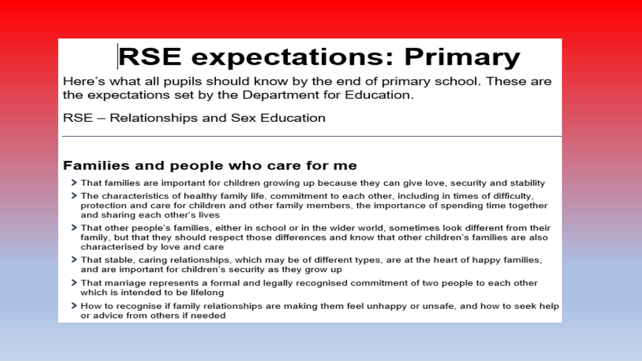# **RSE expectations: Primary**

Here's what all pupils should know by the end of primary school. These are the expectations set by the Department for Education.

RSE – Relationships and Sex Education

#### **Families and people who care for me**

- > That families are important for children growing up because they can give love, security and stability
- > The characteristics of healthy family life, commitment to each other, including in times of difficulty, protection and care for children and other family members, the importance of spending time together and sharing each other's lives
- > That other people's families, either in school or in the wider world, sometimes look different from their family, but that they should respect those differences and know that other children's families are also characterised by love and care
- > That stable, caring relationships, which may be of different types, are at the heart of happy families, and are important for children's security as they grow up
- > That marriage represents a formal and legally recognised commitment of two people to each other which is intended to be lifelong
- > How to recognise if family relationships are making them feel unhappy or unsafe, and how to seek help or advice from others if needed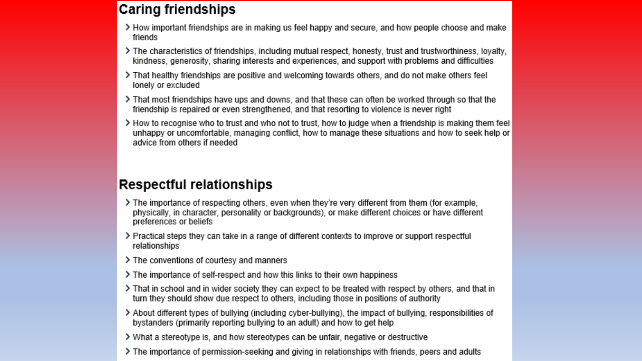#### **Caring friendships**

- > How important friendships are in making us feel happy and secure, and how people choose and make friends
- > The characteristics of friendships, including mutual respect, honesty, trust and trustworthiness, loyalty, kindness, generosity, sharing interests and experiences, and support with problems and difficulties
- > That healthy friendships are positive and welcoming towards others, and do not make others feel lonely or excluded
- That most friendships have ups and downs, and that these can often be worked through so that the friendship is repaired or even strengthened, and that resorting to violence is never right
- > How to recognise who to trust and who not to trust, how to judge when a friendship is making them feel unhappy or uncomfortable, managing conflict, how to manage these situations and how to seek help or advice from others if needed

#### **Respectful relationships**

- > The importance of respecting others, even when they're very different from them (for example, physically, in character, personality or backgrounds), or make different choices or have different preferences or beliefs
- > Practical steps they can take in a range of different contexts to improve or support respectful relationships
- > The conventions of courtesy and manners
- > The importance of self-respect and how this links to their own happiness
- That in school and in wider society they can expect to be treated with respect by others, and that in turn they should show due respect to others, including those in positions of authority
- > About different types of bullying (including cyber-bullying), the impact of bullying, responsibilities of bystanders (primarily reporting bullying to an adult) and how to get help
- > What a stereotype is, and how stereotypes can be unfair, negative or destructive
- The importance of permission-seeking and giving in relationships with friends, peers and adults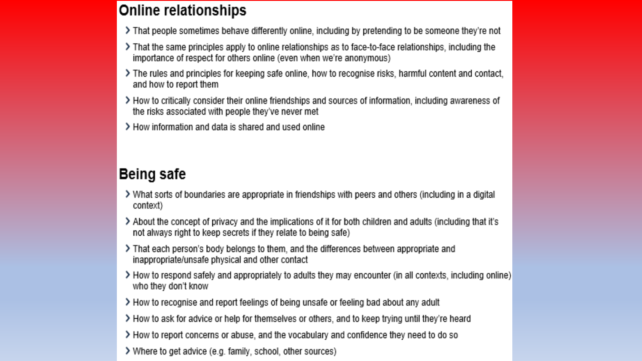#### **Online relationships**

- That people sometimes behave differently online, including by pretending to be someone they're not
- That the same principles apply to online relationships as to face-to-face relationships, including the importance of respect for others online (even when we're anonymous)
- The rules and principles for keeping safe online, how to recognise risks, harmful content and contact, and how to report them
- > How to critically consider their online friendships and sources of information, including awareness of the risks associated with people they've never met
- > How information and data is shared and used online

### Being safe

- > What sorts of boundaries are appropriate in friendships with peers and others (including in a digital context)
- About the concept of privacy and the implications of it for both children and adults (including that it's not always right to keep secrets if they relate to being safe)
- > That each person's body belongs to them, and the differences between appropriate and inappropriate/unsafe physical and other contact
- > How to respond safely and appropriately to adults they may encounter (in all contexts, including online) who they don't know
- > How to recognise and report feelings of being unsafe or feeling bad about any adult
- > How to ask for advice or help for themselves or others, and to keep trying until they're heard
- > How to report concerns or abuse, and the vocabulary and confidence they need to do so
- > Where to get advice (e.g. family, school, other sources)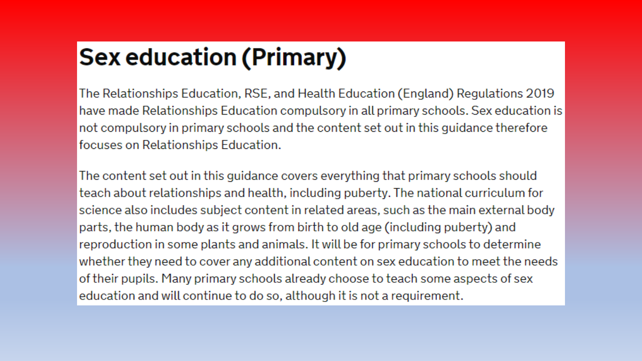## **Sex education (Primary)**

The Relationships Education, RSE, and Health Education (England) Regulations 2019 have made Relationships Education compulsory in all primary schools. Sex education is not compulsory in primary schools and the content set out in this guidance therefore focuses on Relationships Education.

The content set out in this guidance covers everything that primary schools should teach about relationships and health, including puberty. The national curriculum for science also includes subject content in related areas, such as the main external body parts, the human body as it grows from birth to old age (including puberty) and reproduction in some plants and animals. It will be for primary schools to determine whether they need to cover any additional content on sex education to meet the needs of their pupils. Many primary schools already choose to teach some aspects of sex education and will continue to do so, although it is not a requirement.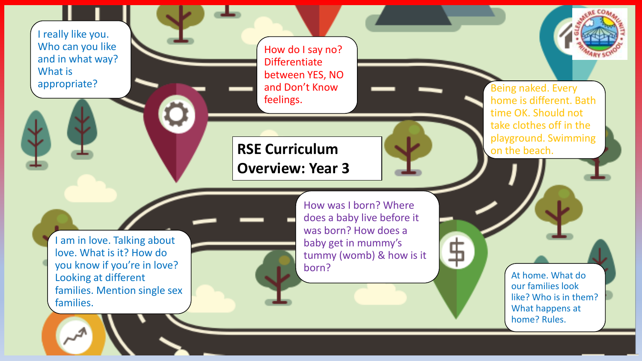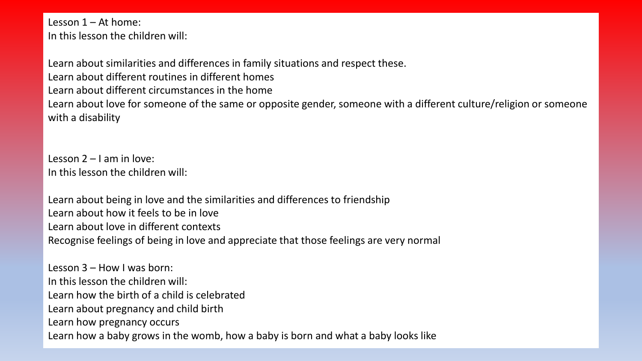Lesson 1 – At home: In this lesson the children will:

Learn about similarities and differences in family situations and respect these. Learn about different routines in different homes Learn about different circumstances in the home Learn about love for someone of the same or opposite gender, someone with a different culture/religion or someone with a disability

Lesson 2 – I am in love: In this lesson the children will:

Learn about being in love and the similarities and differences to friendship Learn about how it feels to be in love Learn about love in different contexts Recognise feelings of being in love and appreciate that those feelings are very normal

Lesson 3 – How I was born: In this lesson the children will: Learn how the birth of a child is celebrated Learn about pregnancy and child birth Learn how pregnancy occurs Learn how a baby grows in the womb, how a baby is born and what a baby looks like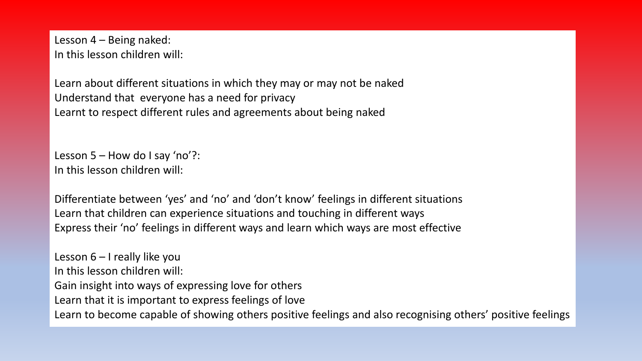Lesson 4 – Being naked: In this lesson children will:

Learn about different situations in which they may or may not be naked Understand that everyone has a need for privacy Learnt to respect different rules and agreements about being naked

Lesson  $5 -$  How do I say 'no'?: In this lesson children will:

Differentiate between 'yes' and 'no' and 'don't know' feelings in different situations Learn that children can experience situations and touching in different ways Express their 'no' feelings in different ways and learn which ways are most effective

Lesson 6 – I really like you In this lesson children will: Gain insight into ways of expressing love for others Learn that it is important to express feelings of love Learn to become capable of showing others positive feelings and also recognising others' positive feelings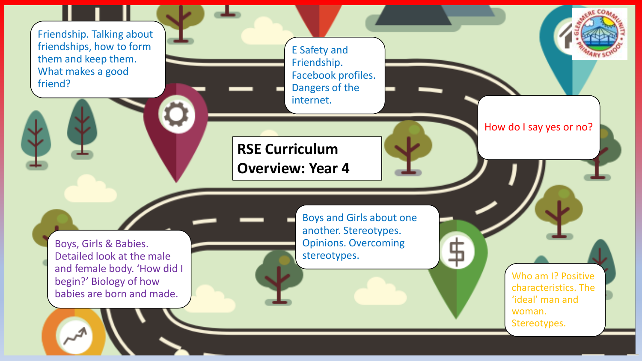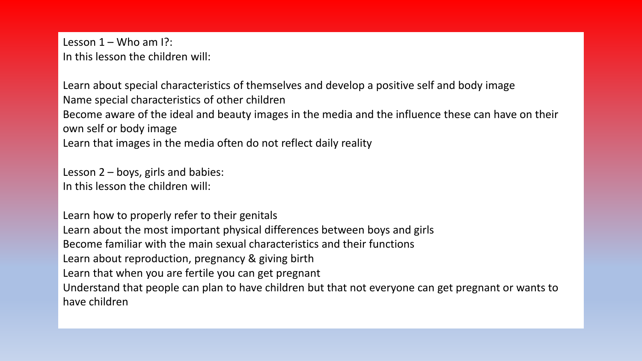Lesson  $1 -$  Who am  $\mathsf{R}$ : In this lesson the children will:

Learn about special characteristics of themselves and develop a positive self and body image Name special characteristics of other children Become aware of the ideal and beauty images in the media and the influence these can have on their own self or body image Learn that images in the media often do not reflect daily reality

Lesson 2 – boys, girls and babies: In this lesson the children will:

Learn how to properly refer to their genitals Learn about the most important physical differences between boys and girls Become familiar with the main sexual characteristics and their functions Learn about reproduction, pregnancy & giving birth Learn that when you are fertile you can get pregnant Understand that people can plan to have children but that not everyone can get pregnant or wants to have children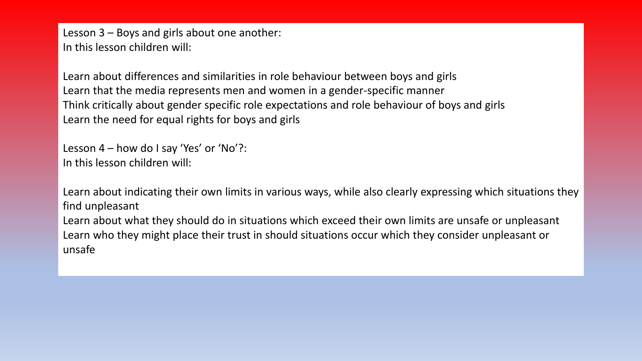Lesson 3 – Boys and girls about one another: In this lesson children will:

Learn about differences and similarities in role behaviour between boys and girls Learn that the media represents men and women in a gender-specific manner Think critically about gender specific role expectations and role behaviour of boys and girls Learn the need for equal rights for boys and girls

Lesson 4 – how do I say 'Yes' or 'No'?: In this lesson children will:

Learn about indicating their own limits in various ways, while also clearly expressing which situations they find unpleasant

Learn about what they should do in situations which exceed their own limits are unsafe or unpleasant Learn who they might place their trust in should situations occur which they consider unpleasant or unsafe